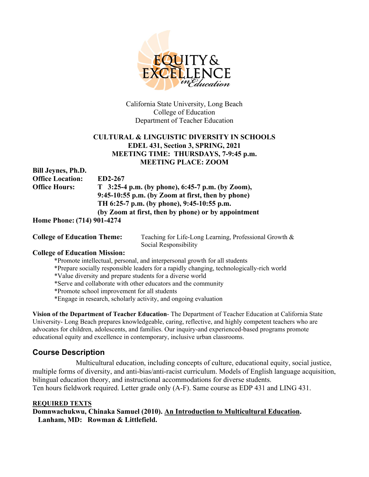

California State University, Long Beach College of Education Department of Teacher Education

# **CULTURAL & LINGUISTIC DIVERSITY IN SCHOOLS EDEL 431, Section 3, SPRING, 2021 MEETING TIME: THURSDAYS, 7-9:45 p.m. MEETING PLACE: ZOOM**

| <b>Bill Jeynes, Ph.D.</b>         |                                                      |
|-----------------------------------|------------------------------------------------------|
| <b>Office Location:</b>           | ED2-267                                              |
| <b>Office Hours:</b>              | $T_{3:25-4}$ p.m. (by phone), 6:45-7 p.m. (by Zoom), |
|                                   | $9:45-10:55$ p.m. (by Zoom at first, then by phone)  |
|                                   | TH 6:25-7 p.m. (by phone), 9:45-10:55 p.m.           |
|                                   | (by Zoom at first, then by phone) or by appointment  |
| <b>Hama Dhana: (714) 001 4274</b> |                                                      |

**Home Phone: (714) 901-4274**

**College of Education Theme:** Teaching for Life-Long Learning, Professional Growth & Social Responsibility

# **College of Education Mission:**

\*Promote intellectual, personal, and interpersonal growth for all students

\*Prepare socially responsible leaders for a rapidly changing, technologically-rich world

\*Value diversity and prepare students for a diverse world

\*Serve and collaborate with other educators and the community

\*Promote school improvement for all students

\*Engage in research, scholarly activity, and ongoing evaluation

**Vision of the Department of Teacher Education**- The Department of Teacher Education at California State University- Long Beach prepares knowledgeable, caring, reflective, and highly competent teachers who are advocates for children, adolescents, and families. Our inquiry-and experienced-based programs promote educational equity and excellence in contemporary, inclusive urban classrooms.

# **Course Description**

Multicultural education, including concepts of culture, educational equity, social justice, multiple forms of diversity, and anti-bias/anti-racist curriculum. Models of English language acquisition, bilingual education theory, and instructional accommodations for diverse students. Ten hours fieldwork required. Letter grade only (A-F). Same course as EDP 431 and LING 431.

# **REQUIRED TEXTS**

**Domnwachukwu, Chinaka Samuel (2010). An Introduction to Multicultural Education. Lanham, MD: Rowman & Littlefield.**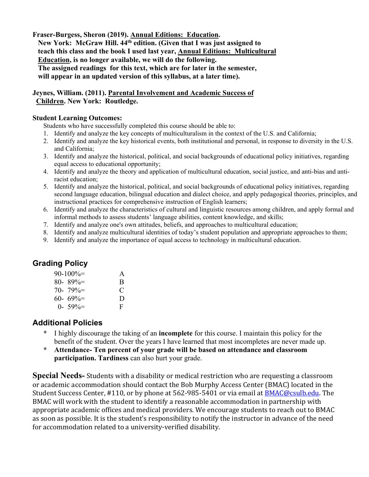**Fraser-Burgess, Sheron (2019). Annual Editions: Education. New York: McGraw Hill. 44th edition. (Given that I was just assigned to teach this class and the book I used last year, Annual Editions: Multicultural Education, is no longer available, we will do the following. The assigned readings for this text, which are for later in the semester, will appear in an updated version of this syllabus, at a later time).**

**Jeynes, William. (2011). Parental Involvement and Academic Success of Children. New York: Routledge.**

# **Student Learning Outcomes:**

Students who have successfully completed this course should be able to:

- 1. Identify and analyze the key concepts of multiculturalism in the context of the U.S. and California;
- 2. Identify and analyze the key historical events, both institutional and personal, in response to diversity in the U.S. and California;
- 3. Identify and analyze the historical, political, and social backgrounds of educational policy initiatives, regarding equal access to educational opportunity;
- 4. Identify and analyze the theory and application of multicultural education, social justice, and anti-bias and antiracist education;
- 5. Identify and analyze the historical, political, and social backgrounds of educational policy initiatives, regarding second language education, bilingual education and dialect choice, and apply pedagogical theories, principles, and instructional practices for comprehensive instruction of English learners;
- 6. Identify and analyze the characteristics of cultural and linguistic resources among children, and apply formal and informal methods to assess students' language abilities, content knowledge, and skills;
- 7. Identify and analyze one's own attitudes, beliefs, and approaches to multicultural education;
- 8. Identify and analyze multicultural identities of today's student population and appropriate approaches to them;
- 9. Identify and analyze the importance of equal access to technology in multicultural education.

# **Grading Policy**

| $90-100% =$ | $\mathsf{A}$  |   |
|-------------|---------------|---|
|             | $80 - 89\% =$ | B |
|             | $70 - 79\% =$ | C |
|             | $60 - 69\% =$ | D |
|             | $0 - 59\% =$  | F |

# **Additional Policies**

- **\*** I highly discourage the taking of an **incomplete** for this course. I maintain this policy for the benefit of the student. Over the years I have learned that most incompletes are never made up.
- **\* Attendance- Ten percent of your grade will be based on attendance and classroom participation. Tardiness** can also hurt your grade.

**Special Needs-** Students with a disability or medical restriction who are requesting a classroom or academic accommodation should contact the Bob Murphy Access Center (BMAC) located in the Student Success Center, #110, or by phone at 562-985-5401 or via email at [BMAC@csulb.edu.](mailto:BMAC@csulb.edu) The BMAC will work with the student to identify a reasonable accommodation in partnership with appropriate academic offices and medical providers. We encourage students to reach out to BMAC as soon as possible. It is the student's responsibility to notify the instructor in advance of the need for accommodation related to a university-verified disability.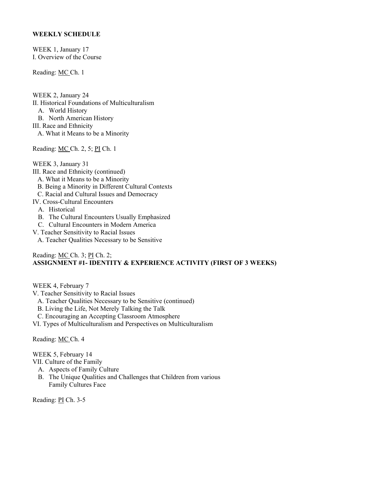## **WEEKLY SCHEDULE**

WEEK 1, January 17 I. Overview of the Course

Reading: MC Ch. 1

WEEK 2, January 24 II. Historical Foundations of Multiculturalism A. World History B. North American History III. Race and Ethnicity A. What it Means to be a Minority

Reading: MC Ch. 2, 5; PI Ch. 1

WEEK 3, January 31 III. Race and Ethnicity (continued) A. What it Means to be a Minority B. Being a Minority in Different Cultural Contexts C. Racial and Cultural Issues and Democracy IV. Cross-Cultural Encounters A. Historical B. The Cultural Encounters Usually Emphasized C. Cultural Encounters in Modern America V. Teacher Sensitivity to Racial Issues A. Teacher Qualities Necessary to be Sensitive

## Reading: MC Ch. 3; PI Ch. 2; **ASSIGNMENT #1- IDENTITY & EXPERIENCE ACTIVITY (FIRST OF 3 WEEKS)**

WEEK 4, February 7

- V. Teacher Sensitivity to Racial Issues
	- A. Teacher Qualities Necessary to be Sensitive (continued)
	- B. Living the Life, Not Merely Talking the Talk
	- C. Encouraging an Accepting Classroom Atmosphere
- VI. Types of Multiculturalism and Perspectives on Multiculturalism

Reading: MC Ch. 4

WEEK 5, February 14

VII. Culture of the Family

- A. Aspects of Family Culture
- B. The Unique Qualities and Challenges that Children from various Family Cultures Face

Reading: PI Ch. 3-5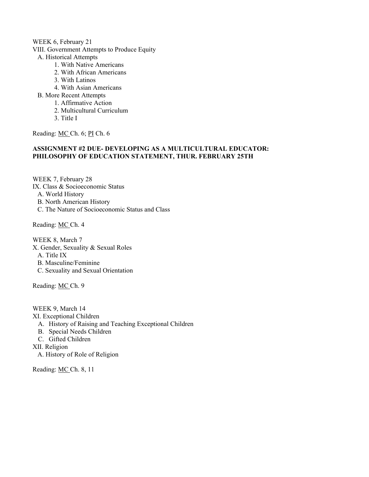#### WEEK 6, February 21

- VIII. Government Attempts to Produce Equity
	- A. Historical Attempts
		- 1. With Native Americans
		- 2. With African Americans
		- 3. With Latinos
		- 4. With Asian Americans
	- B. More Recent Attempts
		- 1. Affirmative Action
		- 2. Multicultural Curriculum
		- 3. Title I

Reading: MC Ch. 6; PI Ch. 6

## **ASSIGNMENT #2 DUE- DEVELOPING AS A MULTICULTURAL EDUCATOR: PHILOSOPHY OF EDUCATION STATEMENT, THUR. FEBRUARY 25TH**

WEEK 7, February 28 IX. Class & Socioeconomic Status A. World History B. North American History C. The Nature of Socioeconomic Status and Class

Reading: MC Ch. 4

WEEK 8, March 7 X. Gender, Sexuality & Sexual Roles A. Title IX B. Masculine/Feminine C. Sexuality and Sexual Orientation

Reading: MC Ch. 9

WEEK 9, March 14 XI. Exceptional Children A. History of Raising and Teaching Exceptional Children B. Special Needs Children C. Gifted Children XII. Religion

A. History of Role of Religion

Reading: MC Ch. 8, 11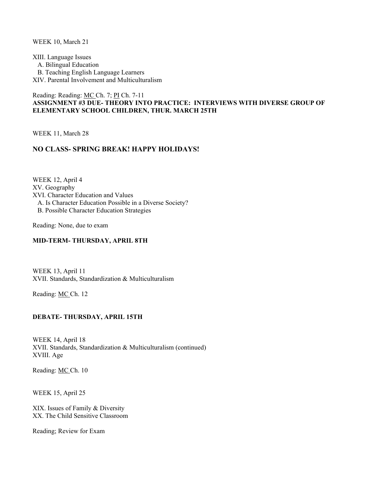WEEK 10, March 21

XIII. Language Issues A. Bilingual Education B. Teaching English Language Learners XIV. Parental Involvement and Multiculturalism

## Reading: Reading: MC Ch. 7; PI Ch. 7-11 **ASSIGNMENT #3 DUE- THEORY INTO PRACTICE: INTERVIEWS WITH DIVERSE GROUP OF ELEMENTARY SCHOOL CHILDREN, THUR. MARCH 25TH**

WEEK 11, March 28

# **NO CLASS- SPRING BREAK! HAPPY HOLIDAYS!**

WEEK 12, April 4 XV. Geography XVI. Character Education and Values A. Is Character Education Possible in a Diverse Society? B. Possible Character Education Strategies

Reading: None, due to exam

### **MID-TERM- THURSDAY, APRIL 8TH**

WEEK 13, April 11 XVII. Standards, Standardization & Multiculturalism

Reading: MC Ch. 12

## **DEBATE- THURSDAY, APRIL 15TH**

WEEK 14, April 18 XVII. Standards, Standardization & Multiculturalism (continued) XVIII. Age

Reading: MC Ch. 10

WEEK 15, April 25

XIX. Issues of Family & Diversity XX. The Child Sensitive Classroom

Reading; Review for Exam